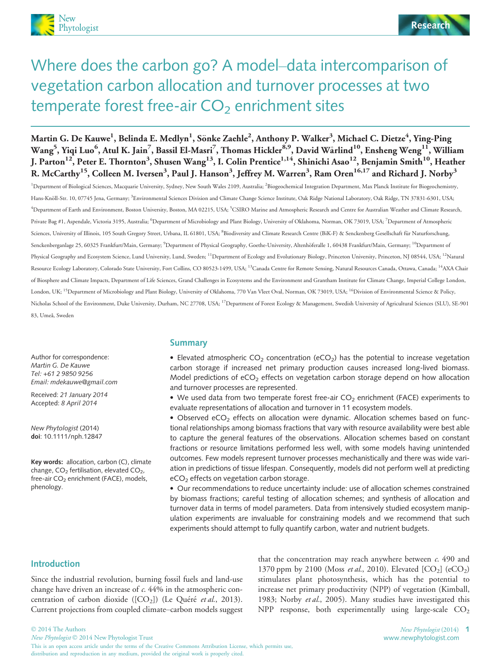

# Where does the carbon go? A model–data intercomparison of vegetation carbon allocation and turnover processes at two temperate forest free-air  $CO<sub>2</sub>$  enrichment sites

Martin G. De Kauwe<sup>1</sup>, Belinda E. Medlyn<sup>1</sup>, Sönke Zaehle<sup>2</sup>, Anthony P. Walker<sup>3</sup>, Michael C. Dietze<sup>4</sup>, Ying-Ping  $\rm{Wang}^5,$  Yiqi Luo $^6$ , Atul K. Jain $^7$ , Bassil El-Masri $^7$ , Thomas Hickler $^{8,9}$ , David Wårlind $^{10}$ , Ensheng Weng $^{11}$ , William J. Parton<sup>12</sup>, Peter E. Thornton<sup>3</sup>, Shusen Wang<sup>13</sup>, I. Colin Prentice<sup>1,14</sup>, Shinichi Asao<sup>12</sup>, Benjamin Smith<sup>10</sup>, Heather R. McCarthy $^{15}$ , Colleen M. Iversen $^3$ , Paul J. Hanson $^3$ , Jeffrey M. Warren $^3$ , Ram Oren $^{16,17}$  and Richard J. Norby $^3$ 

<sup>1</sup>Department of Biological Sciences, Macquarie University, Sydney, New South Wales 2109, Australia; <sup>2</sup>Biogeochemical Integration Department, Max Planck Institute for Biogeochemistry, Hans-Knöll-Str. 10, 07745 Jena, Germany; <sup>3</sup>Environmental Sciences Division and Climate Change Science Institute, Oak Ridge National Laboratory, Oak Ridge, TN 37831-6301, USA; <sup>4</sup>Department of Earth and Environment, Boston University, Boston, MA 02215, USA; <sup>5</sup>CSIRO Marine and Atmospheric Research and Centre for Australian Weather and Climate Research, Private Bag #1, Aspendale, Victoria 3195, Australia; <sup>6</sup>Department of Microbiology and Plant Biology, University of Oklahoma, Norman, OK 73019, USA; <sup>7</sup>Department of Atmospheric Sciences, University of Illinois, 105 South Gregory Street, Urbana, IL 61801, USA; <sup>8</sup>Biodiversity and Climate Research Centre (BiK-F) & Senckenberg Gesellschaft für Naturforschung, Senckenberganlage 25, 60325 Frankfurt/Main, Germany; <sup>9</sup>Department of Physical Geography, Goethe-University, Altenhöferalle 1, 60438 Frankfurt/Main, Germany; <sup>10</sup>Department of Physical Geography and Ecosystem Science, Lund University, Lund, Sweden; <sup>11</sup>Department of Ecology and Evolutionary Biology, Princeton University, Princeton, NJ 08544, USA; <sup>12</sup>Natural Resource Ecology Laboratory, Colorado State University, Fort Collins, CO 80523-1499, USA; <sup>13</sup>Canada Centre for Remote Sensing, Natural Resources Canada, Ottawa, Canada; <sup>14</sup>AXA Chair of Biosphere and Climate Impacts, Department of Life Sciences, Grand Challenges in Ecosystems and the Environment and Grantham Institute for Climate Change, Imperial College London, London, UK; <sup>15</sup>Department of Microbiology and Plant Biology, University of Oklahoma, 770 Van Vleet Oval, Norman, OK 73019, USA; <sup>16</sup>Division of Environmental Science & Policy, Nicholas School of the Environment, Duke University, Durham, NC 27708, USA; 17Department of Forest Ecology & Management, Swedish University of Agricultural Sciences (SLU), SE-901 83, Umeå, Sweden

Author for correspondence: Martin G. De Kauwe Tel: +61 2 9850 9256 Email: mdekauwe@gmail.com

Received: 21 January 2014 Accepted: 8 April 2014

New Phytologist (2014) doi: 10.1111/nph.12847

Key words: allocation, carbon (C), climate change,  $CO<sub>2</sub>$  fertilisation, elevated  $CO<sub>2</sub>$ , free-air CO<sub>2</sub> enrichment (FACE), models, phenology.

# **Summary**

• Elevated atmospheric  $CO<sub>2</sub>$  concentration (eCO<sub>2</sub>) has the potential to increase vegetation carbon storage if increased net primary production causes increased long-lived biomass. Model predictions of  $eCO<sub>2</sub>$  effects on vegetation carbon storage depend on how allocation and turnover processes are represented.

 $\bullet$  We used data from two temperate forest free-air CO<sub>2</sub> enrichment (FACE) experiments to evaluate representations of allocation and turnover in 11 ecosystem models.

 $\bullet$  Observed eCO<sub>2</sub> effects on allocation were dynamic. Allocation schemes based on functional relationships among biomass fractions that vary with resource availability were best able to capture the general features of the observations. Allocation schemes based on constant fractions or resource limitations performed less well, with some models having unintended outcomes. Few models represent turnover processes mechanistically and there was wide variation in predictions of tissue lifespan. Consequently, models did not perform well at predicting  $eCO<sub>2</sub>$  effects on vegetation carbon storage.

 Our recommendations to reduce uncertainty include: use of allocation schemes constrained by biomass fractions; careful testing of allocation schemes; and synthesis of allocation and turnover data in terms of model parameters. Data from intensively studied ecosystem manipulation experiments are invaluable for constraining models and we recommend that such experiments should attempt to fully quantify carbon, water and nutrient budgets.

#### Introduction

Since the industrial revolution, burning fossil fuels and land-use change have driven an increase of c. 44% in the atmospheric concentration of carbon dioxide ( $[CO<sub>2</sub>]$ ) (Le Quéré et al., 2013). Current projections from coupled climate–carbon models suggest

distribution and reproduction in any medium, provided the original work is properly cited.

that the concentration may reach anywhere between  $c$ . 490 and 1370 ppm by 2100 (Moss et al., 2010). Elevated  $[CO<sub>2</sub>]$  (e $CO<sub>2</sub>$ ) stimulates plant photosynthesis, which has the potential to increase net primary productivity (NPP) of vegetation (Kimball, 1983; Norby et al., 2005). Many studies have investigated this NPP response, both experimentally using large-scale  $CO<sub>2</sub>$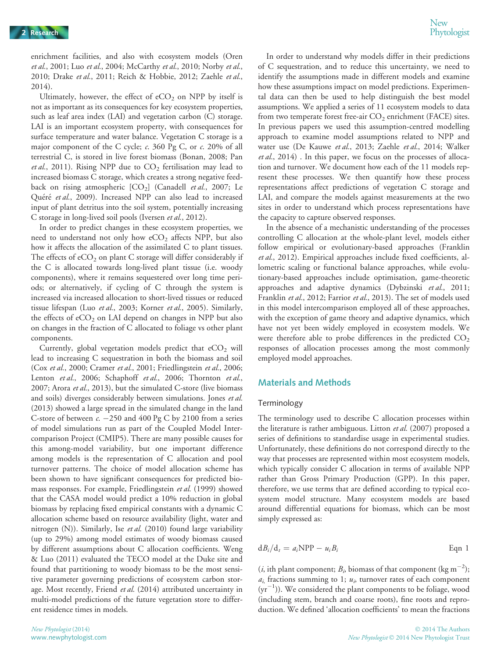enrichment facilities, and also with ecosystem models (Oren et al., 2001; Luo et al., 2004; McCarthy et al., 2010; Norby et al., 2010; Drake et al., 2011; Reich & Hobbie, 2012; Zaehle et al., 2014).

Ultimately, however, the effect of  $eCO<sub>2</sub>$  on NPP by itself is not as important as its consequences for key ecosystem properties, such as leaf area index (LAI) and vegetation carbon (C) storage. LAI is an important ecosystem property, with consequences for surface temperature and water balance. Vegetation C storage is a major component of the C cycle; c. 360 Pg C, or c. 20% of all terrestrial C, is stored in live forest biomass (Bonan, 2008; Pan et al., 2011). Rising NPP due to  $CO<sub>2</sub>$  fertilisation may lead to increased biomass C storage, which creates a strong negative feedback on rising atmospheric  $[CO_2]$  (Canadell et al., 2007; Le Quéré et al., 2009). Increased NPP can also lead to increased input of plant detritus into the soil system, potentially increasing C storage in long-lived soil pools (Iversen et al., 2012).

In order to predict changes in these ecosystem properties, we need to understand not only how  $eCO<sub>2</sub>$  affects NPP, but also how it affects the allocation of the assimilated C to plant tissues. The effects of  $eCO<sub>2</sub>$  on plant C storage will differ considerably if the C is allocated towards long-lived plant tissue (i.e. woody components), where it remains sequestered over long time periods; or alternatively, if cycling of C through the system is increased via increased allocation to short-lived tissues or reduced tissue lifespan (Luo et al., 2003; Korner et al., 2005). Similarly, the effects of  $eCO<sub>2</sub>$  on LAI depend on changes in NPP but also on changes in the fraction of C allocated to foliage vs other plant components.

Currently, global vegetation models predict that  $eCO<sub>2</sub>$  will lead to increasing C sequestration in both the biomass and soil (Cox et al., 2000; Cramer et al., 2001; Friedlingstein et al., 2006; Lenton et al., 2006; Schaphoff et al., 2006; Thornton et al., 2007; Arora et al., 2013), but the simulated C-store (live biomass and soils) diverges considerably between simulations. Jones et al. (2013) showed a large spread in the simulated change in the land C-store of between  $c. -250$  and  $400$  Pg C by 2100 from a series of model simulations run as part of the Coupled Model Intercomparison Project (CMIP5). There are many possible causes for this among-model variability, but one important difference among models is the representation of C allocation and pool turnover patterns. The choice of model allocation scheme has been shown to have significant consequences for predicted biomass responses. For example, Friedlingstein et al. (1999) showed that the CASA model would predict a 10% reduction in global biomass by replacing fixed empirical constants with a dynamic C allocation scheme based on resource availability (light, water and nitrogen (N)). Similarly, Ise et al.  $(2010)$  found large variability (up to 29%) among model estimates of woody biomass caused by different assumptions about C allocation coefficients. Weng & Luo (2011) evaluated the TECO model at the Duke site and found that partitioning to woody biomass to be the most sensitive parameter governing predictions of ecosystem carbon storage. Most recently, Friend et al. (2014) attributed uncertainty in multi-model predictions of the future vegetation store to different residence times in models.

In order to understand why models differ in their predictions of C sequestration, and to reduce this uncertainty, we need to identify the assumptions made in different models and examine how these assumptions impact on model predictions. Experimental data can then be used to help distinguish the best model assumptions. We applied a series of 11 ecosystem models to data from two temperate forest free-air  $CO<sub>2</sub>$  enrichment (FACE) sites. In previous papers we used this assumption-centred modelling approach to examine model assumptions related to NPP and water use (De Kauwe et al., 2013; Zaehle et al., 2014; Walker et al., 2014) . In this paper, we focus on the processes of allocation and turnover. We document how each of the 11 models represent these processes. We then quantify how these process representations affect predictions of vegetation C storage and LAI, and compare the models against measurements at the two sites in order to understand which process representations have the capacity to capture observed responses.

In the absence of a mechanistic understanding of the processes controlling C allocation at the whole-plant level, models either follow empirical or evolutionary-based approaches (Franklin et al., 2012). Empirical approaches include fixed coefficients, allometric scaling or functional balance approaches, while evolutionary-based approaches include optimisation, game-theoretic approaches and adaptive dynamics (Dybzinski et al., 2011; Franklin et al., 2012; Farrior et al., 2013). The set of models used in this model intercomparison employed all of these approaches, with the exception of game theory and adaptive dynamics, which have not yet been widely employed in ecosystem models. We were therefore able to probe differences in the predicted  $CO<sub>2</sub>$ responses of allocation processes among the most commonly employed model approaches.

# Materials and Methods

#### Terminology

The terminology used to describe C allocation processes within the literature is rather ambiguous. Litton et al. (2007) proposed a series of definitions to standardise usage in experimental studies. Unfortunately, these definitions do not correspond directly to the way that processes are represented within most ecosystem models, which typically consider C allocation in terms of available NPP rather than Gross Primary Production (GPP). In this paper, therefore, we use terms that are defined according to typical ecosystem model structure. Many ecosystem models are based around differential equations for biomass, which can be most simply expressed as:

$$
dB_i/d_t = a_i NPP - u_i B_i
$$
 Eqn 1

(*i*, ith plant component;  $B<sub>i</sub>$  biomass of that component (kg m<sup>-2</sup>);  $a_i$  fractions summing to 1;  $u_i$ , turnover rates of each component  $(yr^{-1})$ ). We considered the plant components to be foliage, wood (including stem, branch and coarse roots), fine roots and reproduction. We defined 'allocation coefficients' to mean the fractions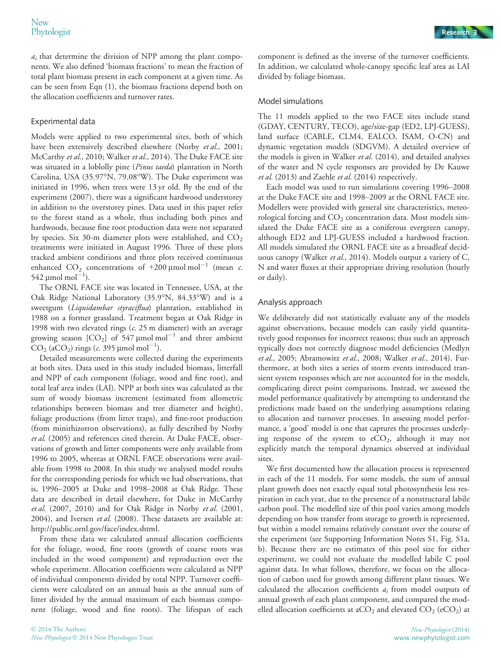$a_i$  that determine the division of NPP among the plant components. We also defined 'biomass fractions' to mean the fraction of total plant biomass present in each component at a given time. As can be seen from Eqn (1), the biomass fractions depend both on the allocation coefficients and turnover rates.

# Experimental data

Models were applied to two experimental sites, both of which have been extensively described elsewhere (Norby et al., 2001; McCarthy et al., 2010; Walker et al., 2014). The Duke FACE site was situated in a loblolly pine (Pinus taeda) plantation in North Carolina, USA (35.97°N, 79.08°W). The Duke experiment was initiated in 1996, when trees were 13 yr old. By the end of the experiment (2007), there was a significant hardwood understorey in addition to the overstorey pines. Data used in this paper refer to the forest stand as a whole, thus including both pines and hardwoods, because fine root production data were not separated by species. Six 30-m diameter plots were established, and  $CO<sub>2</sub>$ treatments were initiated in August 1996. Three of these plots tracked ambient conditions and three plots received continuous enhanced CO<sub>2</sub> concentrations of +200 µmol mol<sup>-1</sup> (mean c. 542 μmol mol $^{-1}$ ).

The ORNL FACE site was located in Tennessee, USA, at the Oak Ridge National Laboratory (35.9°N, 84.33°W) and is a sweetgum (Liquidambar styraciflua) plantation, established in 1988 on a former grassland. Treatment began at Oak Ridge in 1998 with two elevated rings  $(c. 25 \text{ m diameter})$  with an average growing season  $[CO_2]$  of 547  $\mu$ mol mol<sup>-1</sup> and three ambient  $CO<sub>2</sub>$  (aCO<sub>2</sub>) rings (*c*. 395 µmol mol<sup>-1</sup>).

Detailed measurements were collected during the experiments at both sites. Data used in this study included biomass, litterfall and NPP of each component (foliage, wood and fine root), and total leaf area index (LAI). NPP at both sites was calculated as the sum of woody biomass increment (estimated from allometric relationships between biomass and tree diameter and height), foliage productions (from litter traps), and fine-root production (from minirhizotron observations), as fully described by Norby et al. (2005) and references cited therein. At Duke FACE, observations of growth and litter components were only available from 1996 to 2005, whereas at ORNL FACE observations were available from 1998 to 2008. In this study we analysed model results for the corresponding periods for which we had observations, that is, 1996–2005 at Duke and 1998–2008 at Oak Ridge. These data are described in detail elsewhere, for Duke in McCarthy et al. (2007, 2010) and for Oak Ridge in Norby et al. (2001, 2004), and Iversen et al. (2008). These datasets are available at: http://public.ornl.gov/face/index.shtml.

From these data we calculated annual allocation coefficients for the foliage, wood, fine roots (growth of coarse roots was included in the wood component) and reproduction over the whole experiment. Allocation coefficients were calculated as NPP of individual components divided by total NPP. Turnover coefficients were calculated on an annual basis as the annual sum of litter divided by the annual maximum of each biomass component (foliage, wood and fine roots). The lifespan of each

component is defined as the inverse of the turnover coefficients. In addition, we calculated whole-canopy specific leaf area as LAI divided by foliage biomass.

# Model simulations

The 11 models applied to the two FACE sites include stand (GDAY, CENTURY, TECO), age/size-gap (ED2, LPJ-GUESS), land surface (CABLE, CLM4, EALCO, ISAM, O-CN) and dynamic vegetation models (SDGVM). A detailed overview of the models is given in Walker  $et al.$  (2014), and detailed analyses of the water and N cycle responses are provided by De Kauwe et al. (2013) and Zaehle et al. (2014) respectively.

Each model was used to run simulations covering 1996–2008 at the Duke FACE site and 1998–2009 at the ORNL FACE site. Modellers were provided with general site characteristics, meteorological forcing and  $CO<sub>2</sub>$  concentration data. Most models simulated the Duke FACE site as a coniferous evergreen canopy, although ED2 and LPJ-GUESS included a hardwood fraction. All models simulated the ORNL FACE site as a broadleaf deciduous canopy (Walker et al., 2014). Models output a variety of C, N and water fluxes at their appropriate driving resolution (hourly or daily).

# Analysis approach

We deliberately did not statistically evaluate any of the models against observations, because models can easily yield quantitatively good responses for incorrect reasons; thus such an approach typically does not correctly diagnose model deficiencies (Medlyn et al., 2005; Abramowitz et al., 2008; Walker et al., 2014). Furthermore, at both sites a series of storm events introduced transient system responses which are not accounted for in the models, complicating direct point comparisons. Instead, we assessed the model performance qualitatively by attempting to understand the predictions made based on the underlying assumptions relating to allocation and turnover processes. In assessing model performance, a 'good' model is one that captures the processes underlying response of the system to  $eCO<sub>2</sub>$ , although it may not explicitly match the temporal dynamics observed at individual sites.

We first documented how the allocation process is represented in each of the 11 models. For some models, the sum of annual plant growth does not exactly equal total photosynthesis less respiration in each year, due to the presence of a nonstructural labile carbon pool. The modelled size of this pool varies among models depending on how transfer from storage to growth is represented, but within a model remains relatively constant over the course of the experiment (see Supporting Information Notes S1, Fig. S1a, b). Because there are no estimates of this pool size for either experiment, we could not evaluate the modelled labile C pool against data. In what follows, therefore, we focus on the allocation of carbon used for growth among different plant tissues. We calculated the allocation coefficients  $a_i$  from model outputs of annual growth of each plant component, and compared the modelled allocation coefficients at aCO<sub>2</sub> and elevated CO<sub>2</sub> (eCO<sub>2</sub>) at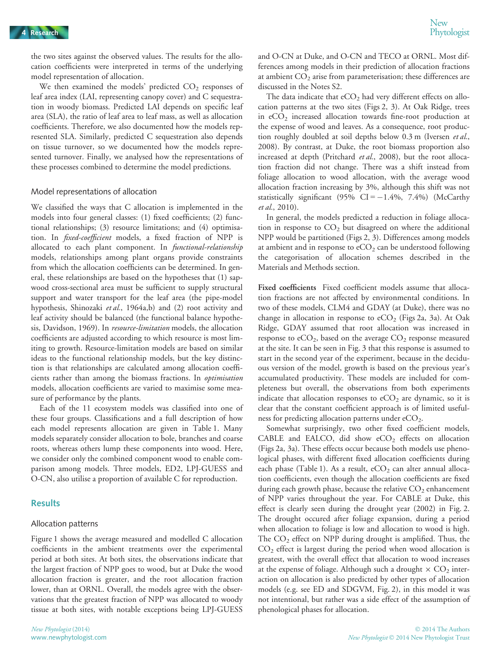the two sites against the observed values. The results for the allocation coefficients were interpreted in terms of the underlying model representation of allocation.

We then examined the models' predicted  $CO<sub>2</sub>$  responses of leaf area index (LAI, representing canopy cover) and C sequestration in woody biomass. Predicted LAI depends on specific leaf area (SLA), the ratio of leaf area to leaf mass, as well as allocation coefficients. Therefore, we also documented how the models represented SLA. Similarly, predicted C sequestration also depends on tissue turnover, so we documented how the models represented turnover. Finally, we analysed how the representations of these processes combined to determine the model predictions.

#### Model representations of allocation

We classified the ways that C allocation is implemented in the models into four general classes: (1) fixed coefficients; (2) functional relationships; (3) resource limitations; and (4) optimisation. In fixed-coefficient models, a fixed fraction of NPP is allocated to each plant component. In *functional-relationship* models, relationships among plant organs provide constraints from which the allocation coefficients can be determined. In general, these relationships are based on the hypotheses that (1) sapwood cross-sectional area must be sufficient to supply structural support and water transport for the leaf area (the pipe-model hypothesis, Shinozaki et al., 1964a,b) and (2) root activity and leaf activity should be balanced (the functional balance hypothesis, Davidson, 1969). In resource-limitation models, the allocation coefficients are adjusted according to which resource is most limiting to growth. Resource-limitation models are based on similar ideas to the functional relationship models, but the key distinction is that relationships are calculated among allocation coefficients rather than among the biomass fractions. In optimisation models, allocation coefficients are varied to maximise some measure of performance by the plants.

Each of the 11 ecosystem models was classified into one of these four groups. Classifications and a full description of how each model represents allocation are given in Table 1. Many models separately consider allocation to bole, branches and coarse roots, whereas others lump these components into wood. Here, we consider only the combined component wood to enable comparison among models. Three models, ED2, LPJ-GUESS and O-CN, also utilise a proportion of available C for reproduction.

# **Results**

#### Allocation patterns

Figure 1 shows the average measured and modelled C allocation coefficients in the ambient treatments over the experimental period at both sites. At both sites, the observations indicate that the largest fraction of NPP goes to wood, but at Duke the wood allocation fraction is greater, and the root allocation fraction lower, than at ORNL. Overall, the models agree with the observations that the greatest fraction of NPP was allocated to woody tissue at both sites, with notable exceptions being LPJ-GUESS

and O-CN at Duke, and O-CN and TECO at ORNL. Most differences among models in their prediction of allocation fractions at ambient  $CO<sub>2</sub>$  arise from parameterisation; these differences are discussed in the Notes S2.

The data indicate that  $eCO<sub>2</sub>$  had very different effects on allocation patterns at the two sites (Figs 2, 3). At Oak Ridge, trees in  $eCO<sub>2</sub>$  increased allocation towards fine-root production at the expense of wood and leaves. As a consequence, root production roughly doubled at soil depths below 0.3 m (Iversen et al., 2008). By contrast, at Duke, the root biomass proportion also increased at depth (Pritchard et al., 2008), but the root allocation fraction did not change. There was a shift instead from foliage allocation to wood allocation, with the average wood allocation fraction increasing by 3%, although this shift was not statistically significant (95%  $CI = -1.4\%$ , 7.4%) (McCarthy et al., 2010).

In general, the models predicted a reduction in foliage allocation in response to  $CO<sub>2</sub>$  but disagreed on where the additional NPP would be partitioned (Figs 2, 3). Differences among models at ambient and in response to  $eCO<sub>2</sub>$  can be understood following the categorisation of allocation schemes described in the Materials and Methods section.

Fixed coefficients Fixed coefficient models assume that allocation fractions are not affected by environmental conditions. In two of these models, CLM4 and GDAY (at Duke), there was no change in allocation in response to  $eCO<sub>2</sub>$  (Figs 2a, 3a). At Oak Ridge, GDAY assumed that root allocation was increased in response to  $eCO<sub>2</sub>$ , based on the average  $CO<sub>2</sub>$  response measured at the site. It can be seen in Fig. 3 that this response is assumed to start in the second year of the experiment, because in the deciduous version of the model, growth is based on the previous year's accumulated productivity. These models are included for completeness but overall, the observations from both experiments indicate that allocation responses to  $eCO<sub>2</sub>$  are dynamic, so it is clear that the constant coefficient approach is of limited usefulness for predicting allocation patterns under  $eCO<sub>2</sub>$ .

Somewhat surprisingly, two other fixed coefficient models, CABLE and EALCO, did show  $eCO<sub>2</sub>$  effects on allocation (Figs 2a, 3a). These effects occur because both models use phenological phases, with different fixed allocation coefficients during each phase (Table 1). As a result,  $eCO<sub>2</sub>$  can alter annual allocation coefficients, even though the allocation coefficients are fixed during each growth phase, because the relative  $CO<sub>2</sub>$  enhancement of NPP varies throughout the year. For CABLE at Duke, this effect is clearly seen during the drought year (2002) in Fig. 2. The drought occured after foliage expansion, during a period when allocation to foliage is low and allocation to wood is high. The  $CO<sub>2</sub>$  effect on NPP during drought is amplified. Thus, the  $CO<sub>2</sub>$  effect is largest during the period when wood allocation is greatest, with the overall effect that allocation to wood increases at the expense of foliage. Although such a drought  $\times$  CO<sub>2</sub> interaction on allocation is also predicted by other types of allocation models (e.g. see ED and SDGVM, Fig. 2), in this model it was not intentional, but rather was a side effect of the assumption of phenological phases for allocation.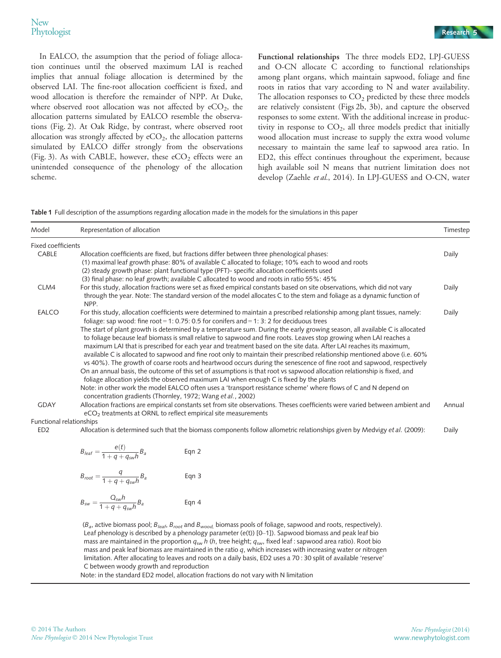In EALCO, the assumption that the period of foliage allocation continues until the observed maximum LAI is reached implies that annual foliage allocation is determined by the observed LAI. The fine-root allocation coefficient is fixed, and wood allocation is therefore the remainder of NPP. At Duke, where observed root allocation was not affected by  $eCO<sub>2</sub>$ , the allocation patterns simulated by EALCO resemble the observations (Fig. 2). At Oak Ridge, by contrast, where observed root allocation was strongly affected by  $eCO<sub>2</sub>$ , the allocation patterns simulated by EALCO differ strongly from the observations (Fig. 3). As with CABLE, however, these  $eCO<sub>2</sub>$  effects were an unintended consequence of the phenology of the allocation scheme.

Functional relationships The three models ED2, LPJ-GUESS and O-CN allocate C according to functional relationships among plant organs, which maintain sapwood, foliage and fine roots in ratios that vary according to N and water availability. The allocation responses to  $CO<sub>2</sub>$  predicted by these three models are relatively consistent (Figs 2b, 3b), and capture the observed responses to some extent. With the additional increase in productivity in response to  $CO<sub>2</sub>$ , all three models predict that initially wood allocation must increase to supply the extra wood volume necessary to maintain the same leaf to sapwood area ratio. In ED2, this effect continues throughout the experiment, because high available soil N means that nutrient limitation does not develop (Zaehle et al., 2014). In LPJ-GUESS and O-CN, water

Table 1 Full description of the assumptions regarding allocation made in the models for the simulations in this paper

| Model                    | Representation of allocation                                                                                                                                                                                                                                                                                                                                                                                                                                                                                                                                                                                                   | Timestep |
|--------------------------|--------------------------------------------------------------------------------------------------------------------------------------------------------------------------------------------------------------------------------------------------------------------------------------------------------------------------------------------------------------------------------------------------------------------------------------------------------------------------------------------------------------------------------------------------------------------------------------------------------------------------------|----------|
| Fixed coefficients       |                                                                                                                                                                                                                                                                                                                                                                                                                                                                                                                                                                                                                                |          |
| CABLE                    | Allocation coefficients are fixed, but fractions differ between three phenological phases:                                                                                                                                                                                                                                                                                                                                                                                                                                                                                                                                     | Daily    |
|                          | (1) maximal leaf growth phase: 80% of available C allocated to foliage; 10% each to wood and roots                                                                                                                                                                                                                                                                                                                                                                                                                                                                                                                             |          |
|                          | (2) steady growth phase: plant functional type (PFT)- specific allocation coefficients used                                                                                                                                                                                                                                                                                                                                                                                                                                                                                                                                    |          |
|                          | (3) final phase: no leaf growth; available C allocated to wood and roots in ratio 55%: 45%                                                                                                                                                                                                                                                                                                                                                                                                                                                                                                                                     |          |
| CLM4                     | For this study, allocation fractions were set as fixed empirical constants based on site observations, which did not vary                                                                                                                                                                                                                                                                                                                                                                                                                                                                                                      | Daily    |
|                          | through the year. Note: The standard version of the model allocates C to the stem and foliage as a dynamic function of<br>NPP.                                                                                                                                                                                                                                                                                                                                                                                                                                                                                                 |          |
| <b>EALCO</b>             | For this study, allocation coefficients were determined to maintain a prescribed relationship among plant tissues, namely:<br>foliage: sap wood: fine root = 1: 0.75: 0.5 for conifers and = 1: 3: 2 for deciduous trees                                                                                                                                                                                                                                                                                                                                                                                                       | Daily    |
|                          | The start of plant growth is determined by a temperature sum. During the early growing season, all available C is allocated<br>to foliage because leaf biomass is small relative to sapwood and fine roots. Leaves stop growing when LAI reaches a<br>maximum LAI that is prescribed for each year and treatment based on the site data. After LAI reaches its maximum,<br>available C is allocated to sapwood and fine root only to maintain their prescribed relationship mentioned above (i.e. 60%<br>vs 40%). The growth of coarse roots and heartwood occurs during the senescence of fine root and sapwood, respectively |          |
|                          | On an annual basis, the outcome of this set of assumptions is that root vs sapwood allocation relationship is fixed, and<br>foliage allocation yields the observed maximum LAI when enough C is fixed by the plants<br>Note: in other work the model EALCO often uses a 'transport resistance scheme' where flows of C and N depend on                                                                                                                                                                                                                                                                                         |          |
|                          | concentration gradients (Thornley, 1972; Wang et al., 2002)                                                                                                                                                                                                                                                                                                                                                                                                                                                                                                                                                                    |          |
| <b>GDAY</b>              | Allocation fractions are empirical constants set from site observations. Theses coefficients were varied between ambient and<br>eCO <sub>2</sub> treatments at ORNL to reflect empirical site measurements                                                                                                                                                                                                                                                                                                                                                                                                                     | Annual   |
| Functional relationships |                                                                                                                                                                                                                                                                                                                                                                                                                                                                                                                                                                                                                                |          |
| ED <sub>2</sub>          | Allocation is determined such that the biomass components follow allometric relationships given by Medvigy et al. (2009):                                                                                                                                                                                                                                                                                                                                                                                                                                                                                                      | Daily    |

$$
B_{\text{leaf}} = \frac{e(t)}{1 + q + q_{\text{sw}}h} B_a
$$
 Eqn 2  

$$
B_{\text{root}} = \frac{q}{1 + q + q_{\text{sw}}h} B_a
$$
 Eqn 3

$$
B_{sw} = \frac{Q_{sw}h}{1+q+q_{sw}h}B_a
$$
 Eqn 4

( $B_a$ , active biomass pool;  $B_{leaf}$ ,  $B_{root}$  and  $B_{wood}$ , biomass pools of foliage, sapwood and roots, respectively). Leaf phenology is described by a phenology parameter (e(t)) [0–1]). Sapwood biomass and peak leaf bio mass are maintained in the proportion  $q_{sw}$  h (h, tree height;  $q_{sw}$ , fixed leaf : sapwood area ratio). Root bio mass and peak leaf biomass are maintained in the ratio q, which increases with increasing water or nitrogen limitation. After allocating to leaves and roots on a daily basis, ED2 uses a 70 : 30 split of available 'reserve' C between woody growth and reproduction

Note: in the standard ED2 model, allocation fractions do not vary with N limitation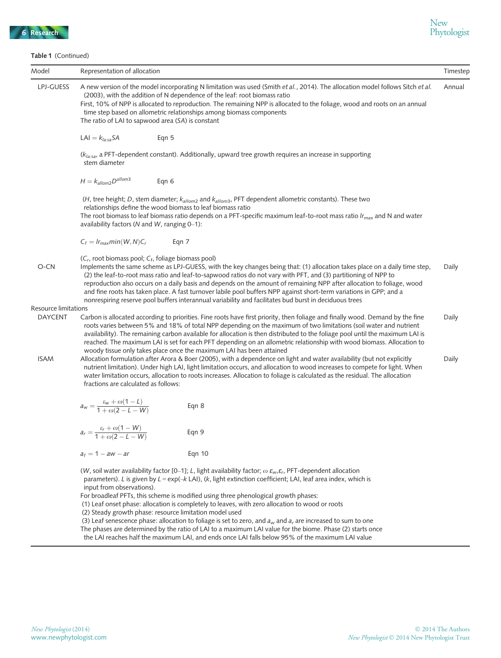Table 1 (Continued)

| <b>Table 1</b> (Continued) |                                                                                                                                                                                                                                                                                                                                                                                                                                                                                                                                                                                                                                                                                                  |               | Timestep |  |  |  |  |
|----------------------------|--------------------------------------------------------------------------------------------------------------------------------------------------------------------------------------------------------------------------------------------------------------------------------------------------------------------------------------------------------------------------------------------------------------------------------------------------------------------------------------------------------------------------------------------------------------------------------------------------------------------------------------------------------------------------------------------------|---------------|----------|--|--|--|--|
| Model                      | Representation of allocation                                                                                                                                                                                                                                                                                                                                                                                                                                                                                                                                                                                                                                                                     |               |          |  |  |  |  |
| LPJ-GUESS                  | A new version of the model incorporating N limitation was used (Smith et al., 2014). The allocation model follows Sitch et al.<br>(2003), with the addition of N dependence of the leaf: root biomass ratio<br>First, 10% of NPP is allocated to reproduction. The remaining NPP is allocated to the foliage, wood and roots on an annual<br>time step based on allometric relationships among biomass components<br>The ratio of LAI to sapwood area (SA) is constant                                                                                                                                                                                                                           |               |          |  |  |  |  |
|                            | LAI = $k_{la:sa}$ SA<br>Eqn 5                                                                                                                                                                                                                                                                                                                                                                                                                                                                                                                                                                                                                                                                    |               |          |  |  |  |  |
|                            | $(klassa$ , a PFT-dependent constant). Additionally, upward tree growth requires an increase in supporting<br>stem diameter                                                                                                                                                                                                                                                                                                                                                                                                                                                                                                                                                                      |               |          |  |  |  |  |
|                            | $H = k_{\text{allow2}} D^{\text{allow3}}$                                                                                                                                                                                                                                                                                                                                                                                                                                                                                                                                                                                                                                                        | Eqn 6         |          |  |  |  |  |
|                            | (H, tree height; D, stem diameter; $k_{\text{allow2}}$ and $k_{\text{allow3}}$ , PFT dependent allometric constants). These two<br>relationships define the wood biomass to leaf biomass ratio<br>The root biomass to leaf biomass ratio depends on a PFT-specific maximum leaf-to-root mass ratio Ir <sub>max</sub> and N and water<br>availability factors (N and W, ranging $0-1$ ):                                                                                                                                                                                                                                                                                                          |               |          |  |  |  |  |
|                            | $C_f = I r_{max} min(W, N) C_r$                                                                                                                                                                                                                                                                                                                                                                                                                                                                                                                                                                                                                                                                  | Eqn 7         |          |  |  |  |  |
| O-CN                       | (C <sub>r</sub> , root biomass pool; C <sub>f</sub> , foliage biomass pool)<br>Implements the same scheme as LPJ-GUESS, with the key changes being that: (1) allocation takes place on a daily time step,<br>Daily<br>(2) the leaf-to-root mass ratio and leaf-to-sapwood ratios do not vary with PFT, and (3) partitioning of NPP to<br>reproduction also occurs on a daily basis and depends on the amount of remaining NPP after allocation to foliage, wood<br>and fine roots has taken place. A fast turnover labile pool buffers NPP against short-term variations in GPP; and a<br>nonrespiring reserve pool buffers interannual variability and facilitates bud burst in deciduous trees |               |          |  |  |  |  |
| Resource limitations       |                                                                                                                                                                                                                                                                                                                                                                                                                                                                                                                                                                                                                                                                                                  |               |          |  |  |  |  |
| <b>DAYCENT</b>             | Carbon is allocated according to priorities. Fine roots have first priority, then foliage and finally wood. Demand by the fine<br>Daily<br>roots varies between 5% and 18% of total NPP depending on the maximum of two limitations (soil water and nutrient<br>availability). The remaining carbon available for allocation is then distributed to the foliage pool until the maximum LAI is<br>reached. The maximum LAI is set for each PFT depending on an allometric relationship with wood biomass. Allocation to<br>woody tissue only takes place once the maximum LAI has been attained                                                                                                   |               |          |  |  |  |  |
| <b>ISAM</b>                | Allocation formulation after Arora & Boer (2005), with a dependence on light and water availability (but not explicitly<br>Daily<br>nutrient limitation). Under high LAI, light limitation occurs, and allocation to wood increases to compete for light. When<br>water limitation occurs, allocation to roots increases. Allocation to foliage is calculated as the residual. The allocation<br>fractions are calculated as follows:                                                                                                                                                                                                                                                            |               |          |  |  |  |  |
|                            | $a_w = \frac{\varepsilon_w + \omega(1 - L)}{1 + \omega(2 - L - W)}$                                                                                                                                                                                                                                                                                                                                                                                                                                                                                                                                                                                                                              | Eqn 8         |          |  |  |  |  |
|                            | $\varepsilon_r + \omega(1-W)$<br>$a_r = \frac{a_r}{1 + \omega(2 - L - W)}$                                                                                                                                                                                                                                                                                                                                                                                                                                                                                                                                                                                                                       | Eqn 9         |          |  |  |  |  |
|                            | $a_f = 1 - aw - ar$                                                                                                                                                                                                                                                                                                                                                                                                                                                                                                                                                                                                                                                                              | <b>Eqn 10</b> |          |  |  |  |  |
|                            | (W, soil water availability factor [0-1]; L, light availability factor; $\omega \varepsilon_{w} \varepsilon_{r}$ , PFT-dependent allocation<br>parameters). L is given by $L = \exp(-k L A)$ , (k, light extinction coefficient; LAI, leaf area index, which is<br>input from observations).<br>For broadleaf PFTs, this scheme is modified using three phenological growth phases:<br>(1) Leaf onset phase: allocation is completely to leaves, with zero allocation to wood or roots                                                                                                                                                                                                           |               |          |  |  |  |  |
|                            | (2) Steady growth phase: resource limitation model used                                                                                                                                                                                                                                                                                                                                                                                                                                                                                                                                                                                                                                          |               |          |  |  |  |  |
|                            | (3) Leaf senescence phase: allocation to foliage is set to zero, and $a_w$ and $a_r$ are increased to sum to one<br>The phases are determined by the ratio of LAI to a maximum LAI value for the biome. Phase (2) starts once<br>the LAI reaches half the maximum LAI, and ends once LAI falls below 95% of the maximum LAI value                                                                                                                                                                                                                                                                                                                                                                |               |          |  |  |  |  |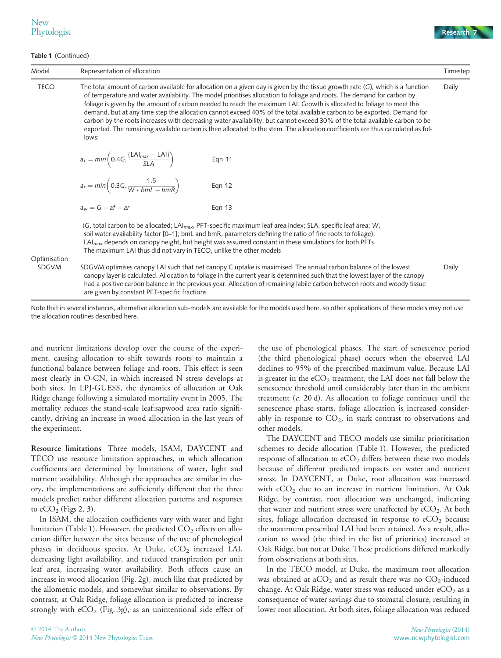Table 1 (Continued)



| Model        | Representation of allocation                                                                                                                                                                                                                                                                                                                                                                                                                                                                                                                                                                                                                                                                                                                                                           |  |  |  |  |
|--------------|----------------------------------------------------------------------------------------------------------------------------------------------------------------------------------------------------------------------------------------------------------------------------------------------------------------------------------------------------------------------------------------------------------------------------------------------------------------------------------------------------------------------------------------------------------------------------------------------------------------------------------------------------------------------------------------------------------------------------------------------------------------------------------------|--|--|--|--|
| <b>TECO</b>  | The total amount of carbon available for allocation on a given day is given by the tissue growth rate (G), which is a function<br>of temperature and water availability. The model prioritises allocation to foliage and roots. The demand for carbon by<br>foliage is given by the amount of carbon needed to reach the maximum LAI. Growth is allocated to foliage to meet this<br>demand, but at any time step the allocation cannot exceed 40% of the total available carbon to be exported. Demand for<br>carbon by the roots increases with decreasing water availability, but cannot exceed 30% of the total available carbon to be<br>exported. The remaining available carbon is then allocated to the stem. The allocation coefficients are thus calculated as fol-<br>lows: |  |  |  |  |
|              | $a_f = min\left(0.4G, \frac{(LAI_{max} - LAI)}{SLA}\right)$<br>Eqn 11                                                                                                                                                                                                                                                                                                                                                                                                                                                                                                                                                                                                                                                                                                                  |  |  |  |  |
|              | $a_r = min\left(0.3G, \frac{1.5}{W * b m L - b m R}\right)$<br>Eqn 12                                                                                                                                                                                                                                                                                                                                                                                                                                                                                                                                                                                                                                                                                                                  |  |  |  |  |
|              | $a_w = G - af - ar$<br><b>Eqn 13</b>                                                                                                                                                                                                                                                                                                                                                                                                                                                                                                                                                                                                                                                                                                                                                   |  |  |  |  |
| Optimisation | (G, total carbon to be allocated; LAI <sub>max</sub> , PFT-specific maximum leaf area index; SLA, specific leaf area; W,<br>soil water availability factor [0-1]; bmL and bmR, parameters defining the ratio of fine roots to foliage).<br>$LAI_{max}$ depends on canopy height, but height was assumed constant in these simulations for both PFTs.<br>The maximum LAI thus did not vary in TECO, unlike the other models                                                                                                                                                                                                                                                                                                                                                             |  |  |  |  |
| <b>SDGVM</b> | SDGVM optimises canopy LAI such that net canopy C uptake is maximised. The annual carbon balance of the lowest<br>canopy layer is calculated. Allocation to foliage in the current year is determined such that the lowest layer of the canopy<br>had a positive carbon balance in the previous year. Allocation of remaining labile carbon between roots and woody tissue<br>are given by constant PFT-specific fractions                                                                                                                                                                                                                                                                                                                                                             |  |  |  |  |

Note that in several instances, alternative allocation sub-models are available for the models used here, so other applications of these models may not use the allocation routines described here.

and nutrient limitations develop over the course of the experiment, causing allocation to shift towards roots to maintain a functional balance between foliage and roots. This effect is seen most clearly in O-CN, in which increased N stress develops at both sites. In LPJ-GUESS, the dynamics of allocation at Oak Ridge change following a simulated mortality event in 2005. The mortality reduces the stand-scale leaf:sapwood area ratio significantly, driving an increase in wood allocation in the last years of the experiment.

Resource limitations Three models, ISAM, DAYCENT and TECO use resource limitation approaches, in which allocation coefficients are determined by limitations of water, light and nutrient availability. Although the approaches are similar in theory, the implementations are sufficiently different that the three models predict rather different allocation patterns and responses to  $eCO<sub>2</sub>$  (Figs 2, 3).

In ISAM, the allocation coefficients vary with water and light limitation (Table 1). However, the predicted  $CO<sub>2</sub>$  effects on allocation differ between the sites because of the use of phenological phases in deciduous species. At Duke,  $eCO<sub>2</sub>$  increased LAI, decreasing light availability, and reduced transpiration per unit leaf area, increasing water availability. Both effects cause an increase in wood allocation (Fig. 2g), much like that predicted by the allometric models, and somewhat similar to observations. By contrast, at Oak Ridge, foliage allocation is predicted to increase strongly with  $eCO<sub>2</sub>$  (Fig. 3g), as an unintentional side effect of the use of phenological phases. The start of senescence period (the third phenological phase) occurs when the observed LAI declines to 95% of the prescribed maximum value. Because LAI is greater in the  $eCO<sub>2</sub>$  treatment, the LAI does not fall below the senescence threshold until considerably later than in the ambient treatment  $(c. 20 d)$ . As allocation to foliage continues until the senescence phase starts, foliage allocation is increased considerably in response to  $CO<sub>2</sub>$ , in stark contrast to observations and other models.

The DAYCENT and TECO models use similar prioritisation schemes to decide allocation (Table 1). However, the predicted response of allocation to eCO<sub>2</sub> differs between these two models because of different predicted impacts on water and nutrient stress. In DAYCENT, at Duke, root allocation was increased with  $eCO<sub>2</sub>$  due to an increase in nutrient limitation. At Oak Ridge, by contrast, root allocation was unchanged, indicating that water and nutrient stress were unaffected by  $eCO<sub>2</sub>$ . At both sites, foliage allocation decreased in response to  $eCO<sub>2</sub>$  because the maximum prescribed LAI had been attained. As a result, allocation to wood (the third in the list of priorities) increased at Oak Ridge, but not at Duke. These predictions differed markedly from observations at both sites.

In the TECO model, at Duke, the maximum root allocation was obtained at  $aCO<sub>2</sub>$  and as result there was no  $CO<sub>2</sub>$ -induced change. At Oak Ridge, water stress was reduced under  $eCO<sub>2</sub>$  as a consequence of water savings due to stomatal closure, resulting in lower root allocation. At both sites, foliage allocation was reduced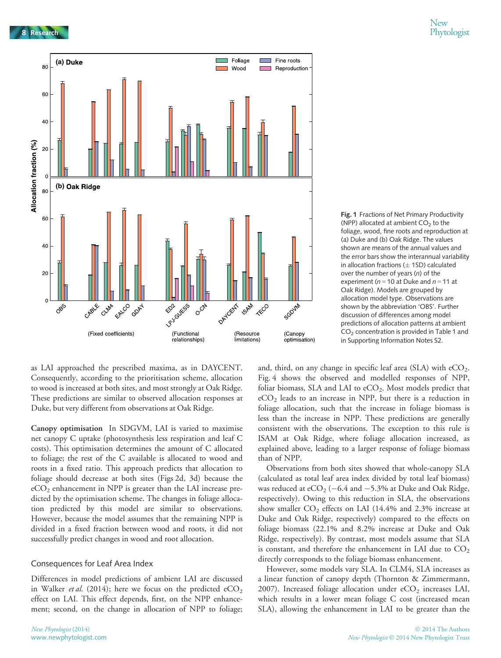



Fig. 1 Fractions of Net Primary Productivity

as LAI approached the prescribed maxima, as in DAYCENT. Consequently, according to the prioritisation scheme, allocation to wood is increased at both sites, and most strongly at Oak Ridge. These predictions are similar to observed allocation responses at Duke, but very different from observations at Oak Ridge.

Canopy optimisation In SDGVM, LAI is varied to maximise net canopy C uptake (photosynthesis less respiration and leaf C costs). This optimisation determines the amount of C allocated to foliage; the rest of the C available is allocated to wood and roots in a fixed ratio. This approach predicts that allocation to foliage should decrease at both sites (Figs 2d, 3d) because the  $eCO<sub>2</sub>$  enhancement in NPP is greater than the LAI increase predicted by the optimisation scheme. The changes in foliage allocation predicted by this model are similar to observations. However, because the model assumes that the remaining NPP is divided in a fixed fraction between wood and roots, it did not successfully predict changes in wood and root allocation.

# Consequences for Leaf Area Index

Differences in model predictions of ambient LAI are discussed in Walker *et al.* (2014); here we focus on the predicted  $eCO<sub>2</sub>$ effect on LAI. This effect depends, first, on the NPP enhancement; second, on the change in allocation of NPP to foliage;

and, third, on any change in specific leaf area  $(SLA)$  with  $eCO<sub>2</sub>$ . Fig. 4 shows the observed and modelled responses of NPP, foliar biomass, SLA and LAI to eCO<sub>2</sub>. Most models predict that  $eCO<sub>2</sub>$  leads to an increase in NPP, but there is a reduction in foliage allocation, such that the increase in foliage biomass is less than the increase in NPP. These predictions are generally consistent with the observations. The exception to this rule is ISAM at Oak Ridge, where foliage allocation increased, as explained above, leading to a larger response of foliage biomass than of NPP.

Observations from both sites showed that whole-canopy SLA (calculated as total leaf area index divided by total leaf biomass) was reduced at  $eCO<sub>2</sub>$  (-6.4 and -5.3% at Duke and Oak Ridge, respectively). Owing to this reduction in SLA, the observations show smaller  $CO<sub>2</sub>$  effects on LAI (14.4% and 2.3% increase at Duke and Oak Ridge, respectively) compared to the effects on foliage biomass (22.1% and 8.2% increase at Duke and Oak Ridge, respectively). By contrast, most models assume that SLA is constant, and therefore the enhancement in LAI due to  $CO<sub>2</sub>$ directly corresponds to the foliage biomass enhancement.

However, some models vary SLA. In CLM4, SLA increases as a linear function of canopy depth (Thornton & Zimmermann, 2007). Increased foliage allocation under  $eCO<sub>2</sub>$  increases LAI, which results in a lower mean foliage C cost (increased mean SLA), allowing the enhancement in LAI to be greater than the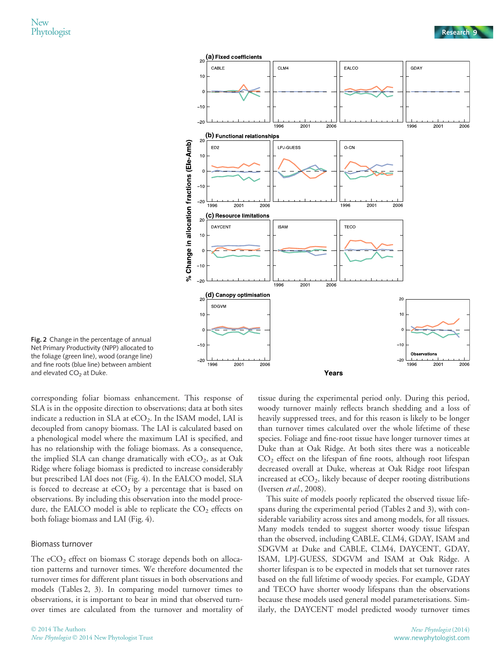

Fig. 2 Change in the percentage of annual Net Primary Productivity (NPP) allocated to the foliage (green line), wood (orange line) and fine roots (blue line) between ambient and elevated CO<sub>2</sub> at Duke.

corresponding foliar biomass enhancement. This response of SLA is in the opposite direction to observations; data at both sites indicate a reduction in SLA at  $eCO<sub>2</sub>$ . In the ISAM model, LAI is decoupled from canopy biomass. The LAI is calculated based on a phenological model where the maximum LAI is specified, and has no relationship with the foliage biomass. As a consequence, the implied SLA can change dramatically with  $eCO<sub>2</sub>$ , as at Oak Ridge where foliage biomass is predicted to increase considerably but prescribed LAI does not (Fig. 4). In the EALCO model, SLA is forced to decrease at  $eCO<sub>2</sub>$  by a percentage that is based on observations. By including this observation into the model procedure, the EALCO model is able to replicate the  $CO<sub>2</sub>$  effects on both foliage biomass and LAI (Fig. 4).

#### Biomass turnover

The  $eCO<sub>2</sub>$  effect on biomass C storage depends both on allocation patterns and turnover times. We therefore documented the turnover times for different plant tissues in both observations and models (Tables 2, 3). In comparing model turnover times to observations, it is important to bear in mind that observed turnover times are calculated from the turnover and mortality of

tissue during the experimental period only. During this period, woody turnover mainly reflects branch shedding and a loss of heavily suppressed trees, and for this reason is likely to be longer than turnover times calculated over the whole lifetime of these species. Foliage and fine-root tissue have longer turnover times at Duke than at Oak Ridge. At both sites there was a noticeable CO2 effect on the lifespan of fine roots, although root lifespan decreased overall at Duke, whereas at Oak Ridge root lifespan increased at  $eCO<sub>2</sub>$ , likely because of deeper rooting distributions (Iversen et al., 2008).

This suite of models poorly replicated the observed tissue lifespans during the experimental period (Tables 2 and 3), with considerable variability across sites and among models, for all tissues. Many models tended to suggest shorter woody tissue lifespan than the observed, including CABLE, CLM4, GDAY, ISAM and SDGVM at Duke and CABLE, CLM4, DAYCENT, GDAY, ISAM, LPJ-GUESS, SDGVM and ISAM at Oak Ridge. A shorter lifespan is to be expected in models that set turnover rates based on the full lifetime of woody species. For example, GDAY and TECO have shorter woody lifespans than the observations because these models used general model parameterisations. Similarly, the DAYCENT model predicted woody turnover times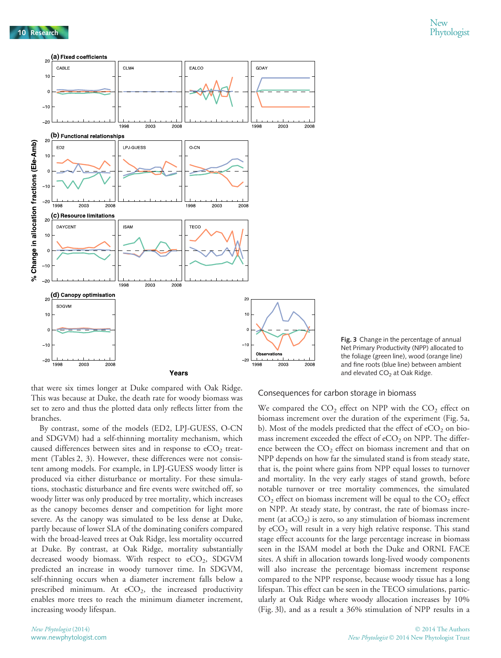



that were six times longer at Duke compared with Oak Ridge. This was because at Duke, the death rate for woody biomass was set to zero and thus the plotted data only reflects litter from the branches.

By contrast, some of the models (ED2, LPJ-GUESS, O-CN and SDGVM) had a self-thinning mortality mechanism, which caused differences between sites and in response to  $eCO<sub>2</sub>$  treatment (Tables 2, 3). However, these differences were not consistent among models. For example, in LPJ-GUESS woody litter is produced via either disturbance or mortality. For these simulations, stochastic disturbance and fire events were switched off, so woody litter was only produced by tree mortality, which increases as the canopy becomes denser and competition for light more severe. As the canopy was simulated to be less dense at Duke, partly because of lower SLA of the dominating conifers compared with the broad-leaved trees at Oak Ridge, less mortality occurred at Duke. By contrast, at Oak Ridge, mortality substantially decreased woody biomass. With respect to  $eCO<sub>2</sub>$ , SDGVM predicted an increase in woody turnover time. In SDGVM, self-thinning occurs when a diameter increment falls below a prescribed minimum. At  $eCO<sub>2</sub>$ , the increased productivity enables more trees to reach the minimum diameter increment, increasing woody lifespan.

#### Consequences for carbon storage in biomass

We compared the  $CO<sub>2</sub>$  effect on NPP with the  $CO<sub>2</sub>$  effect on biomass increment over the duration of the experiment (Fig. 5a, b). Most of the models predicted that the effect of  $eCO<sub>2</sub>$  on biomass increment exceeded the effect of  $eCO<sub>2</sub>$  on NPP. The difference between the  $CO<sub>2</sub>$  effect on biomass increment and that on NPP depends on how far the simulated stand is from steady state, that is, the point where gains from NPP equal losses to turnover and mortality. In the very early stages of stand growth, before notable turnover or tree mortality commences, the simulated  $CO<sub>2</sub>$  effect on biomass increment will be equal to the  $CO<sub>2</sub>$  effect on NPP. At steady state, by contrast, the rate of biomass increment (at  $aCO<sub>2</sub>$ ) is zero, so any stimulation of biomass increment by  $eCO<sub>2</sub>$  will result in a very high relative response. This stand stage effect accounts for the large percentage increase in biomass seen in the ISAM model at both the Duke and ORNL FACE sites. A shift in allocation towards long-lived woody components will also increase the percentage biomass increment response compared to the NPP response, because woody tissue has a long lifespan. This effect can be seen in the TECO simulations, particularly at Oak Ridge where woody allocation increases by 10% (Fig. 3l), and as a result a 36% stimulation of NPP results in a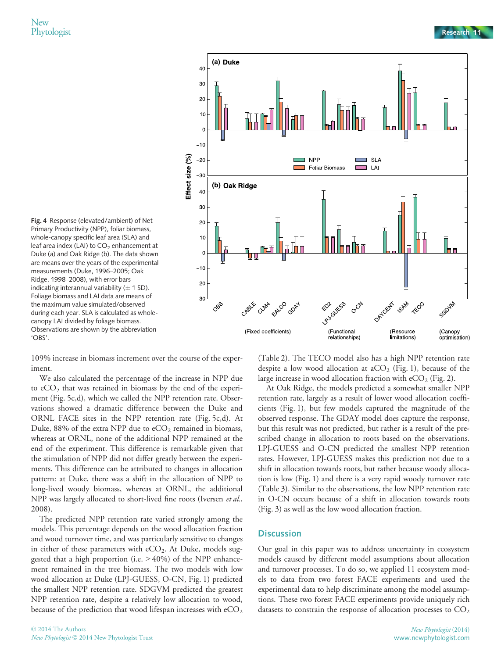



109% increase in biomass increment over the course of the experiment.

We also calculated the percentage of the increase in NPP due to  $eCO<sub>2</sub>$  that was retained in biomass by the end of the experiment (Fig. 5c,d), which we called the NPP retention rate. Observations showed a dramatic difference between the Duke and ORNL FACE sites in the NPP retention rate (Fig. 5c,d). At Duke, 88% of the extra NPP due to  $eCO<sub>2</sub>$  remained in biomass, whereas at ORNL, none of the additional NPP remained at the end of the experiment. This difference is remarkable given that the stimulation of NPP did not differ greatly between the experiments. This difference can be attributed to changes in allocation pattern: at Duke, there was a shift in the allocation of NPP to long-lived woody biomass, whereas at ORNL, the additional NPP was largely allocated to short-lived fine roots (Iversen et al., 2008).

The predicted NPP retention rate varied strongly among the models. This percentage depends on the wood allocation fraction and wood turnover time, and was particularly sensitive to changes in either of these parameters with  $eCO<sub>2</sub>$ . At Duke, models suggested that a high proportion (i.e.  $>40\%$ ) of the NPP enhancement remained in the tree biomass. The two models with low wood allocation at Duke (LPJ-GUESS, O-CN, Fig. 1) predicted the smallest NPP retention rate. SDGVM predicted the greatest NPP retention rate, despite a relatively low allocation to wood, because of the prediction that wood lifespan increases with  $eCO<sub>2</sub>$ 

(Table 2). The TECO model also has a high NPP retention rate despite a low wood allocation at  $aCO<sub>2</sub>$  (Fig. 1), because of the large increase in wood allocation fraction with  $eCO<sub>2</sub>$  (Fig. 2).

At Oak Ridge, the models predicted a somewhat smaller NPP retention rate, largely as a result of lower wood allocation coefficients (Fig. 1), but few models captured the magnitude of the observed response. The GDAY model does capture the response, but this result was not predicted, but rather is a result of the prescribed change in allocation to roots based on the observations. LPJ-GUESS and O-CN predicted the smallest NPP retention rates. However, LPJ-GUESS makes this prediction not due to a shift in allocation towards roots, but rather because woody allocation is low (Fig. 1) and there is a very rapid woody turnover rate (Table 3). Similar to the observations, the low NPP retention rate in O-CN occurs because of a shift in allocation towards roots (Fig. 3) as well as the low wood allocation fraction.

# **Discussion**

Our goal in this paper was to address uncertainty in ecosystem models caused by different model assumptions about allocation and turnover processes. To do so, we applied 11 ecosystem models to data from two forest FACE experiments and used the experimental data to help discriminate among the model assumptions. These two forest FACE experiments provide uniquely rich datasets to constrain the response of allocation processes to  $CO<sub>2</sub>$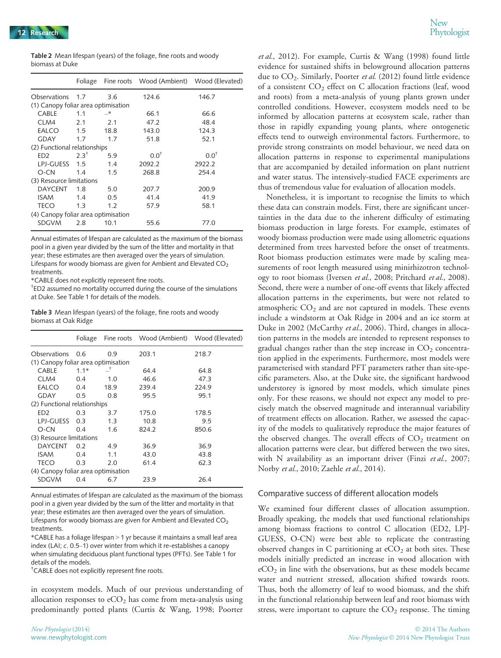| <b>Table 2</b> Mean lifespan (years) of the foliage, fine roots and woody |  |  |  |
|---------------------------------------------------------------------------|--|--|--|
| biomass at Duke                                                           |  |  |  |

|                                     | Foliage         |       | Fine roots Wood (Ambient) Wood (Elevated) |                 |
|-------------------------------------|-----------------|-------|-------------------------------------------|-----------------|
| Observations 1.7                    |                 | 3.6   | 124.6                                     | 146.7           |
| (1) Canopy foliar area optimisation |                 |       |                                           |                 |
| CABLE                               | 1.1             | $-$ * | 66.1                                      | 66.6            |
| CLM4                                | 2.1             | 2.1   | 47.2                                      | 48.4            |
| EALCO                               | 1.5             | 18.8  | 143.0                                     | 124.3           |
| <b>GDAY</b>                         | 1.7             | 1.7   | 51.8                                      | 52.1            |
| (2) Functional relationships        |                 |       |                                           |                 |
| ED <sub>2</sub>                     | $2.3^{\dagger}$ | 5.9   | $0.0^{\dagger}$                           | $0.0^{\dagger}$ |
| LPJ-GUESS                           | 1.5             | 1.4   | 2092.2                                    | 2922.2          |
| $O-CN$                              | 1.4             | 1.5   | 268.8                                     | 254.4           |
| (3) Resource limitations            |                 |       |                                           |                 |
| <b>DAYCENT</b>                      | 1.8             | 5.0   | 207.7                                     | 200.9           |
| <b>ISAM</b>                         | 1.4             | 0.5   | 41.4                                      | 41.9            |
| <b>TECO</b>                         | 1.3             | 1.2   | 57.9                                      | 58.1            |
| (4) Canopy foliar area optimisation |                 |       |                                           |                 |
| <b>SDGVM</b>                        | 2.8             | 10.1  | 55.6                                      | 77.0            |

Annual estimates of lifespan are calculated as the maximum of the biomass pool in a given year divided by the sum of the litter and mortality in that year; these estimates are then averaged over the years of simulation. Lifespans for woody biomass are given for Ambient and Elevated  $CO<sub>2</sub>$ treatments.

\*CABLE does not explicitly represent fine roots.

† ED2 assumed no mortality occurred during the course of the simulations at Duke. See Table 1 for details of the models.

Table 3 Mean lifespan (years) of the foliage, fine roots and woody biomass at Oak Ridge

|                                     | Foliage |      | Fine roots Wood (Ambient) Wood (Elevated) |       |
|-------------------------------------|---------|------|-------------------------------------------|-------|
| <b>Observations</b>                 | 0.6     | 0.9  | 203.1                                     | 218.7 |
| (1) Canopy foliar area optimisation |         |      |                                           |       |
| CABLE                               | $1.1*$  | _†   | 64.4                                      | 64.8  |
| CLM4                                | 0.4     | 1.0  | 46.6                                      | 47.3  |
| EALCO                               | 0.4     | 18.9 | 239.4                                     | 224.9 |
| <b>GDAY</b>                         | 0.5     | 0.8  | 95.5                                      | 95.1  |
| (2) Functional relationships        |         |      |                                           |       |
| FD <sub>2</sub>                     | 0.3     | 3.7  | 175.0                                     | 178.5 |
| LPJ-GUESS                           | 0.3     | 1.3  | 10.8                                      | 9.5   |
| $O-CN$                              | 0.4     | 1.6  | 824.2                                     | 850.6 |
| (3) Resource limitations            |         |      |                                           |       |
| <b>DAYCENT</b>                      | 0.2     | 4.9  | 36.9                                      | 36.9  |
| <b>ISAM</b>                         | 0.4     | 1.1  | 43.0                                      | 43.8  |
| <b>TECO</b>                         | 0.3     | 2.0  | 61.4                                      | 62.3  |
| (4) Canopy foliar area optimisation |         |      |                                           |       |
| <b>SDGVM</b>                        | 0.4     | 6.7  | 23.9                                      | 26.4  |

Annual estimates of lifespan are calculated as the maximum of the biomass pool in a given year divided by the sum of the litter and mortality in that year; these estimates are then averaged over the years of simulation. Lifespans for woody biomass are given for Ambient and Elevated  $CO<sub>2</sub>$ treatments.

\*CABLE has a foliage lifespan > 1 yr because it maintains a small leaf area index (LAI; c. 0.5–1) over winter from which it re-establishes a canopy when simulating deciduous plant functional types (PFTs). See Table 1 for details of the models.

† CABLE does not explicitly represent fine roots.

in ecosystem models. Much of our previous understanding of allocation responses to  $eCO<sub>2</sub>$  has come from meta-analysis using predominantly potted plants (Curtis & Wang, 1998; Poorter

et al., 2012). For example, Curtis & Wang (1998) found little evidence for sustained shifts in belowground allocation patterns due to  $CO<sub>2</sub>$ . Similarly, Poorter et al. (2012) found little evidence of a consistent CO<sub>2</sub> effect on C allocation fractions (leaf, wood and roots) from a meta-analysis of young plants grown under controlled conditions. However, ecosystem models need to be informed by allocation patterns at ecosystem scale, rather than those in rapidly expanding young plants, where ontogenetic effects tend to outweigh environmental factors. Furthermore, to provide strong constraints on model behaviour, we need data on allocation patterns in response to experimental manipulations that are accompanied by detailed information on plant nutrient and water status. The intensively-studied FACE experiments are thus of tremendous value for evaluation of allocation models.

Nonetheless, it is important to recognise the limits to which these data can constrain models. First, there are significant uncertainties in the data due to the inherent difficulty of estimating biomass production in large forests. For example, estimates of woody biomass production were made using allometric equations determined from trees harvested before the onset of treatments. Root biomass production estimates were made by scaling measurements of root length measured using minirhizotron technology to root biomass (Iversen et al., 2008; Pritchard et al., 2008). Second, there were a number of one-off events that likely affected allocation patterns in the experiments, but were not related to atmospheric  $CO<sub>2</sub>$  and are not captured in models. These events include a windstorm at Oak Ridge in 2004 and an ice storm at Duke in 2002 (McCarthy et al., 2006). Third, changes in allocation patterns in the models are intended to represent responses to gradual changes rather than the step increase in  $CO<sub>2</sub>$  concentration applied in the experiments. Furthermore, most models were parameterised with standard PFT parameters rather than site-specific parameters. Also, at the Duke site, the significant hardwood understorey is ignored by most models, which simulate pines only. For these reasons, we should not expect any model to precisely match the observed magnitude and interannual variability of treatment effects on allocation. Rather, we assessed the capacity of the models to qualitatively reproduce the major features of the observed changes. The overall effects of  $CO<sub>2</sub>$  treatment on allocation patterns were clear, but differed between the two sites, with N availability as an important driver (Finzi et al., 2007; Norby et al., 2010; Zaehle et al., 2014).

#### Comparative success of different allocation models

We examined four different classes of allocation assumption. Broadly speaking, the models that used functional relationships among biomass fractions to control C allocation (ED2, LPJ-GUESS, O-CN) were best able to replicate the contrasting observed changes in C partitioning at  $eCO<sub>2</sub>$  at both sites. These models initially predicted an increase in wood allocation with  $eCO<sub>2</sub>$  in line with the observations, but as these models became water and nutrient stressed, allocation shifted towards roots. Thus, both the allometry of leaf to wood biomass, and the shift in the functional relationship between leaf and root biomass with stress, were important to capture the  $CO<sub>2</sub>$  response. The timing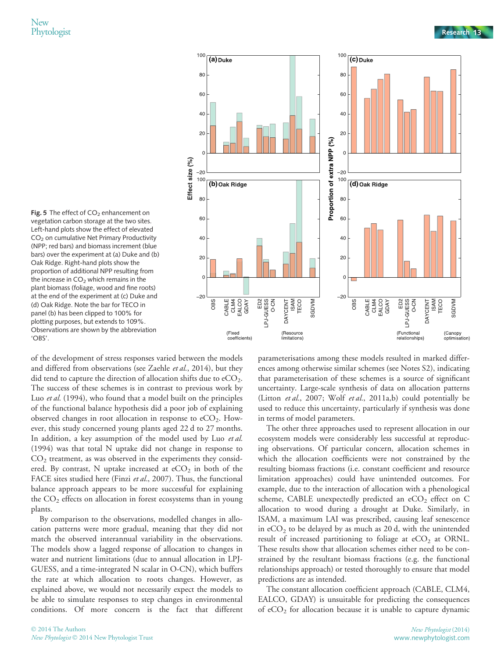



of the development of stress responses varied between the models and differed from observations (see Zaehle *et al.*, 2014), but they did tend to capture the direction of allocation shifts due to  $eCO<sub>2</sub>$ . The success of these schemes is in contrast to previous work by Luo *et al.* (1994), who found that a model built on the principles of the functional balance hypothesis did a poor job of explaining observed changes in root allocation in response to  $eCO<sub>2</sub>$ . However, this study concerned young plants aged 22 d to 27 months. In addition, a key assumption of the model used by Luo et al. (1994) was that total N uptake did not change in response to  $CO<sub>2</sub>$  treatment, as was observed in the experiments they considered. By contrast, N uptake increased at  $eCO<sub>2</sub>$  in both of the FACE sites studied here (Finzi et al., 2007). Thus, the functional balance approach appears to be more successful for explaining the  $CO<sub>2</sub>$  effects on allocation in forest ecosystems than in young plants.

By comparison to the observations, modelled changes in allocation patterns were more gradual, meaning that they did not match the observed interannual variability in the observations. The models show a lagged response of allocation to changes in water and nutrient limitations (due to annual allocation in LPJ-GUESS, and a time-integrated N scalar in O-CN), which buffers the rate at which allocation to roots changes. However, as explained above, we would not necessarily expect the models to be able to simulate responses to step changes in environmental conditions. Of more concern is the fact that different parameterisations among these models resulted in marked differences among otherwise similar schemes (see Notes S2), indicating that parameterisation of these schemes is a source of significant uncertainty. Large-scale synthesis of data on allocation patterns (Litton et al., 2007; Wolf et al., 2011a,b) could potentially be used to reduce this uncertainty, particularly if synthesis was done in terms of model parameters.

The other three approaches used to represent allocation in our ecosystem models were considerably less successful at reproducing observations. Of particular concern, allocation schemes in which the allocation coefficients were not constrained by the resulting biomass fractions (i.e. constant coefficient and resource limitation approaches) could have unintended outcomes. For example, due to the interaction of allocation with a phenological scheme, CABLE unexpectedly predicted an  $eCO<sub>2</sub>$  effect on C allocation to wood during a drought at Duke. Similarly, in ISAM, a maximum LAI was prescribed, causing leaf senescence in  $eCO<sub>2</sub>$  to be delayed by as much as 20 d, with the unintended result of increased partitioning to foliage at  $eCO<sub>2</sub>$  at ORNL. These results show that allocation schemes either need to be constrained by the resultant biomass fractions (e.g. the functional relationships approach) or tested thoroughly to ensure that model predictions are as intended.

The constant allocation coefficient approach (CABLE, CLM4, EALCO, GDAY) is unsuitable for predicting the consequences of  $eCO<sub>2</sub>$  for allocation because it is unable to capture dynamic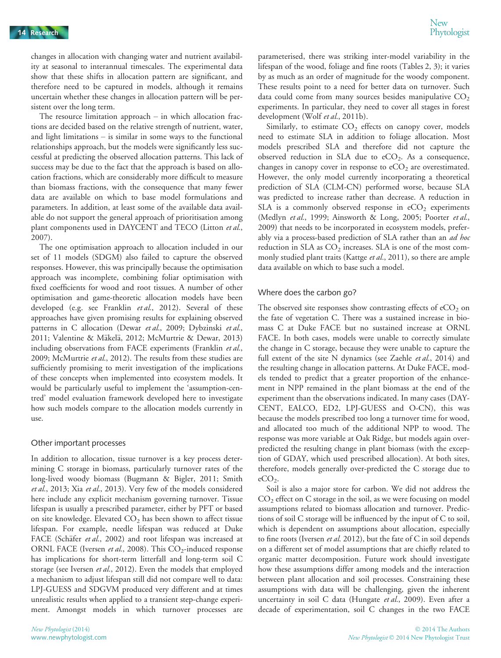changes in allocation with changing water and nutrient availability at seasonal to interannual timescales. The experimental data show that these shifts in allocation pattern are significant, and therefore need to be captured in models, although it remains uncertain whether these changes in allocation pattern will be persistent over the long term.

The resource limitation approach – in which allocation fractions are decided based on the relative strength of nutrient, water, and light limitations – is similar in some ways to the functional relationships approach, but the models were significantly less successful at predicting the observed allocation patterns. This lack of success may be due to the fact that the approach is based on allocation fractions, which are considerably more difficult to measure than biomass fractions, with the consequence that many fewer data are available on which to base model formulations and parameters. In addition, at least some of the available data available do not support the general approach of prioritisation among plant components used in DAYCENT and TECO (Litton et al., 2007).

The one optimisation approach to allocation included in our set of 11 models (SDGM) also failed to capture the observed responses. However, this was principally because the optimisation approach was incomplete, combining foliar optimisation with fixed coefficients for wood and root tissues. A number of other optimisation and game-theoretic allocation models have been developed (e.g. see Franklin et al., 2012). Several of these approaches have given promising results for explaining observed patterns in C allocation (Dewar et al., 2009; Dybzinski et al., 2011; Valentine & Mäkelä, 2012; McMurtrie & Dewar, 2013) including observations from FACE experiments (Franklin et al., 2009; McMurtrie et al., 2012). The results from these studies are sufficiently promising to merit investigation of the implications of these concepts when implemented into ecosystem models. It would be particularly useful to implement the 'assumption-centred' model evaluation framework developed here to investigate how such models compare to the allocation models currently in use.

#### Other important processes

In addition to allocation, tissue turnover is a key process determining C storage in biomass, particularly turnover rates of the long-lived woody biomass (Bugmann & Bigler, 2011; Smith et al., 2013; Xia et al., 2013). Very few of the models considered here include any explicit mechanism governing turnover. Tissue lifespan is usually a prescribed parameter, either by PFT or based on site knowledge. Elevated  $CO<sub>2</sub>$  has been shown to affect tissue lifespan. For example, needle lifespan was reduced at Duke FACE (Schäfer et al., 2002) and root lifespan was increased at ORNL FACE (Iversen et al., 2008). This  $CO_2$ -induced response has implications for short-term litterfall and long-term soil C storage (see Iversen et al., 2012). Even the models that employed a mechanism to adjust lifespan still did not compare well to data: LPJ-GUESS and SDGVM produced very different and at times unrealistic results when applied to a transient step-change experiment. Amongst models in which turnover processes are

parameterised, there was striking inter-model variability in the lifespan of the wood, foliage and fine roots (Tables 2, 3); it varies by as much as an order of magnitude for the woody component. These results point to a need for better data on turnover. Such data could come from many sources besides manipulative  $CO<sub>2</sub>$ experiments. In particular, they need to cover all stages in forest development (Wolf et al., 2011b).

Similarly, to estimate  $CO<sub>2</sub>$  effects on canopy cover, models need to estimate SLA in addition to foliage allocation. Most models prescribed SLA and therefore did not capture the observed reduction in SLA due to  $eCO<sub>2</sub>$ . As a consequence, changes in canopy cover in response to  $eCO<sub>2</sub>$  are overestimated. However, the only model currently incorporating a theoretical prediction of SLA (CLM-CN) performed worse, because SLA was predicted to increase rather than decrease. A reduction in SLA is a commonly observed response in  $eCO<sub>2</sub>$  experiments (Medlyn et al., 1999; Ainsworth & Long, 2005; Poorter et al., 2009) that needs to be incorporated in ecosystem models, preferably via a process-based prediction of SLA rather than an *ad hoc* reduction in SLA as  $CO<sub>2</sub>$  increases. SLA is one of the most commonly studied plant traits (Kattge et al., 2011), so there are ample data available on which to base such a model.

# Where does the carbon go?

The observed site responses show contrasting effects of  $eCO<sub>2</sub>$  on the fate of vegetation C. There was a sustained increase in biomass C at Duke FACE but no sustained increase at ORNL FACE. In both cases, models were unable to correctly simulate the change in C storage, because they were unable to capture the full extent of the site N dynamics (see Zaehle et al., 2014) and the resulting change in allocation patterns. At Duke FACE, models tended to predict that a greater proportion of the enhancement in NPP remained in the plant biomass at the end of the experiment than the observations indicated. In many cases (DAY-CENT, EALCO, ED2, LPJ-GUESS and O-CN), this was because the models prescribed too long a turnover time for wood, and allocated too much of the additional NPP to wood. The response was more variable at Oak Ridge, but models again overpredicted the resulting change in plant biomass (with the exception of GDAY, which used prescribed allocation). At both sites, therefore, models generally over-predicted the C storage due to  $eCO<sub>2</sub>$ .

Soil is also a major store for carbon. We did not address the  $CO<sub>2</sub>$  effect on C storage in the soil, as we were focusing on model assumptions related to biomass allocation and turnover. Predictions of soil C storage will be influenced by the input of C to soil, which is dependent on assumptions about allocation, especially to fine roots (Iversen et al. 2012), but the fate of C in soil depends on a different set of model assumptions that are chiefly related to organic matter decomposition. Future work should investigate how these assumptions differ among models and the interaction between plant allocation and soil processes. Constraining these assumptions with data will be challenging, given the inherent uncertainty in soil C data (Hungate et al., 2009). Even after a decade of experimentation, soil C changes in the two FACE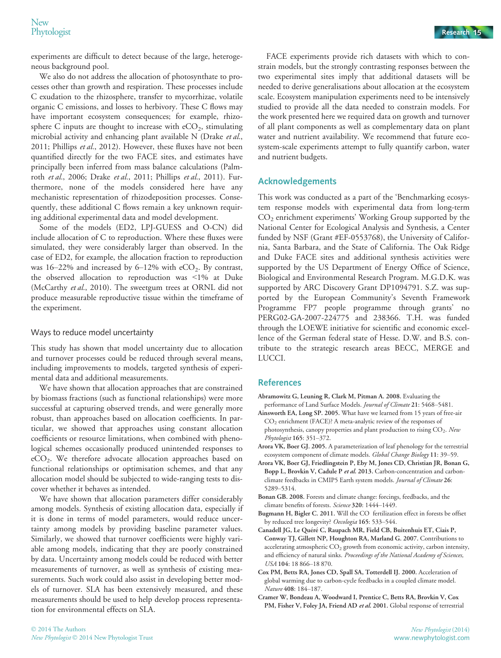experiments are difficult to detect because of the large, heterogeneous background pool.

We also do not address the allocation of photosynthate to processes other than growth and respiration. These processes include C exudation to the rhizosphere, transfer to mycorrhizae, volatile organic C emissions, and losses to herbivory. These C flows may have important ecosystem consequences; for example, rhizosphere C inputs are thought to increase with  $eCO<sub>2</sub>$ , stimulating microbial activity and enhancing plant available N (Drake et al., 2011; Phillips et al., 2012). However, these fluxes have not been quantified directly for the two FACE sites, and estimates have principally been inferred from mass balance calculations (Palmroth et al., 2006; Drake et al., 2011; Phillips et al., 2011). Furthermore, none of the models considered here have any mechanistic representation of rhizodeposition processes. Consequently, these additional C flows remain a key unknown requiring additional experimental data and model development.

Some of the models (ED2, LPJ-GUESS and O-CN) did include allocation of C to reproduction. Where these fluxes were simulated, they were considerably larger than observed. In the case of ED2, for example, the allocation fraction to reproduction was 16–22% and increased by 6–12% with  $eCO_2$ . By contrast, the observed allocation to reproduction was <1% at Duke (McCarthy et al., 2010). The sweetgum trees at ORNL did not produce measurable reproductive tissue within the timeframe of the experiment.

### Ways to reduce model uncertainty

This study has shown that model uncertainty due to allocation and turnover processes could be reduced through several means, including improvements to models, targeted synthesis of experimental data and additional measurements.

We have shown that allocation approaches that are constrained by biomass fractions (such as functional relationships) were more successful at capturing observed trends, and were generally more robust, than approaches based on allocation coefficients. In particular, we showed that approaches using constant allocation coefficients or resource limitations, when combined with phenological schemes occasionally produced unintended responses to eCO2. We therefore advocate allocation approaches based on functional relationships or optimisation schemes, and that any allocation model should be subjected to wide-ranging tests to discover whether it behaves as intended.

We have shown that allocation parameters differ considerably among models. Synthesis of existing allocation data, especially if it is done in terms of model parameters, would reduce uncertainty among models by providing baseline parameter values. Similarly, we showed that turnover coefficients were highly variable among models, indicating that they are poorly constrained by data. Uncertainty among models could be reduced with better measurements of turnover, as well as synthesis of existing measurements. Such work could also assist in developing better models of turnover. SLA has been extensively measured, and these measurements should be used to help develop process representation for environmental effects on SLA.

FACE experiments provide rich datasets with which to constrain models, but the strongly contrasting responses between the two experimental sites imply that additional datasets will be needed to derive generalisations about allocation at the ecosystem scale. Ecosystem manipulation experiments need to be intensively studied to provide all the data needed to constrain models. For the work presented here we required data on growth and turnover of all plant components as well as complementary data on plant water and nutrient availability. We recommend that future ecosystem-scale experiments attempt to fully quantify carbon, water and nutrient budgets.

# Acknowledgements

This work was conducted as a part of the 'Benchmarking ecosystem response models with experimental data from long-term CO2 enrichment experiments' Working Group supported by the National Center for Ecological Analysis and Synthesis, a Center funded by NSF (Grant #EF-0553768), the University of California, Santa Barbara, and the State of California. The Oak Ridge and Duke FACE sites and additional synthesis activities were supported by the US Department of Energy Office of Science, Biological and Environmental Research Program. M.G.D.K. was supported by ARC Discovery Grant DP1094791. S.Z. was supported by the European Community's Seventh Framework Programme FP7 people programme through grants' no PERG02-GA-2007-224775 and 238366. T.H. was funded through the LOEWE initiative for scientific and economic excellence of the German federal state of Hesse. D.W. and B.S. contribute to the strategic research areas BECC, MERGE and LUCCI.

# References

- Abramowitz G, Leuning R, Clark M, Pitman A. 2008. Evaluating the performance of Land Surface Models. Journal of Climate 21: 5468–5481.
- Ainsworth EA, Long SP. 2005. What have we learned from 15 years of free-air CO2 enrichment (FACE)? A meta-analytic review of the responses of photosynthesis, canopy properties and plant production to rising CO<sub>2</sub>. New Phytologist 165: 351–372.
- Arora VK, Boer GJ. 2005. A parameterization of leaf phenology for the terrestrial ecosystem component of climate models. Global Change Biology 11: 39–59.
- Arora VK, Boer GJ, Friedlingstein P, Eby M, Jones CD, Christian JR, Bonan G, Bopp L, Brovkin V, Cadule P et al. 2013. Carbon-concentration and carbonclimate feedbacks in CMIP5 Earth system models. Journal of Climate 26: 5289–5314.
- Bonan GB. 2008. Forests and climate change: forcings, feedbacks, and the climate benefits of forests. Science 320: 1444–1449.
- Bugmann H, Bigler C. 2011. Will the CO fertilization effect in forests be offset by reduced tree longevity? Oecologia 165: 533–544.
- Canadell JG, Le Quéré C, Raupach MR, Field CB, Buitenhuis ET, Ciais P, Conway TJ, Gillett NP, Houghton RA, Marland G. 2007. Contributions to accelerating atmospheric CO<sub>2</sub> growth from economic activity, carbon intensity, and efficiency of natural sinks. Proceedings of the National Academy of Sciences, USA 104: 18 866–18 870.
- Cox PM, Betts RA, Jones CD, Spall SA, Totterdell IJ. 2000. Acceleration of global warming due to carbon-cycle feedbacks in a coupled climate model. Nature 408: 184–187.
- Cramer W, Bondeau A, Woodward I, Prentice C, Betts RA, Brovkin V, Cox PM, Fisher V, Foley JA, Friend AD et al. 2001. Global response of terrestrial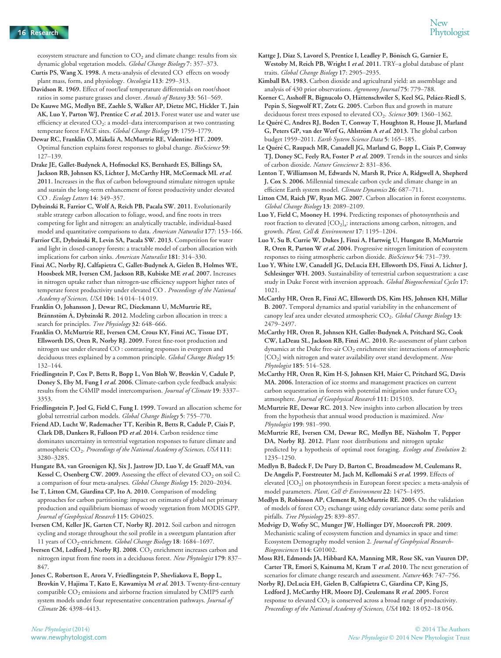ecosystem structure and function to  $CO<sub>2</sub>$  and climate change: results from six dynamic global vegetation models. Global Change Biology 7: 357–373.

- Curtis PS, Wang X. 1998. A meta-analysis of elevated CO effects on woody plant mass, form, and physiology. Oecologia 113: 299–313.
- Davidson R. 1969. Effect of root/leaf temperature differentials on root/shoot ratios in some pasture grasses and clover. Annals of Botany 33: 561–569.
- De Kauwe MG, Medlyn BE, Zaehle S, Walker AP, Dietze MC, Hickler T, Jain AK, Luo Y, Parton WJ, Prentice C et al. 2013. Forest water use and water use efficiency at elevated CO<sub>2</sub>: a model-data intercomparison at two contrasting temperate forest FACE sites. Global Change Biology 19: 1759-1779.
- Dewar RC, Franklin O, Mäkelä A, McMurtrie RE, Valentine HT. 2009. Optimal function explains forest responses to global change. BioScience 59: 127–139.
- Drake JE, Gallet-Budynek A, Hofmockel KS, Bernhardt ES, Billings SA, Jackson RB, Johnsen KS, Lichter J, McCarthy HR, McCormack ML et al. 2011. Increases in the flux of carbon belowground stimulate nitrogen uptake and sustain the long-term enhancement of forest productivity under elevated CO . Ecology Letters 14: 349–357.
- Dybzinski R, Farrior C, Wolf A, Reich PB, Pacala SW. 2011. Evolutionarily stable strategy carbon allocation to foliage, wood, and fine roots in trees competing for light and nitrogen: an analytically tractable, individual-based model and quantitative comparisons to data. American Naturalist 177: 153–166.
- Farrior CE, Dybzinski R, Levin SA, Pacala SW. 2013. Competition for water and light in closed-canopy forests: a tractable model of carbon allocation with implications for carbon sinks. American Naturalist 181: 314–330.
- Finzi AC, Norby RJ, Calfapietra C, Gallet-Budynek A, Gielen B, Holmes WE, Hoosbeek MR, Iversen CM, Jackson RB, Kubiske ME et al. 2007. Increases in nitrogen uptake rather than nitrogen-use efficiency support higher rates of temperate forest productivity under elevated CO . Proceedings of the National Academy of Sciences, USA 104: 14 014–14 019.
- Franklin O, Johansson J, Dewar RC, Dieckmann U, McMurtrie RE, Brännstöm Å, Dybzinski R. 2012. Modeling carbon allocation in trees: a search for principles. Tree Physiology 32: 648-666.
- Franklin O, McMurtrie RE, Iversen CM, Crous KY, Finzi AC, Tissue DT, Ellsworth DS, Oren R, Norby RJ. 2009. Forest fine-root production and nitrogen use under elevated CO : contrasting responses in evergreen and deciduous trees explained by a common principle. Global Change Biology 15: 132–144.
- Friedlingstein P, Cox P, Betts R, Bopp L, Von Bloh W, Brovkin V, Cadule P, Doney S, Eby M, Fung I et al. 2006. Climate-carbon cycle feedback analysis: results from the C4MIP model intercomparison. Journal of Climate 19: 3337-3353.
- Friedlingstein P, Joel G, Field C, Fung I. 1999. Toward an allocation scheme for global terrestrial carbon models. Global Change Biology 5: 755–770.
- Friend AD, Lucht W, Rademacher TT, Keribin R, Betts R, Cadule P, Ciais P, Clark DB, Dankers R, Falloon PD et al. 2014. Carbon residence time dominates uncertainty in terrestrial vegetation responses to future climate and atmospheric CO<sub>2</sub>. Proceedings of the National Academy of Sciences, USA 111: 3280–3285.
- Hungate BA, van Groenigen KJ, Six J, Jastrow JD, Luo Y, de Graaff MA, van Kessel C, Osenberg CW. 2009. Assessing the effect of elevated  $CO<sub>2</sub>$  on soil C: a comparison of four meta-analyses. Global Change Biology 15: 2020–2034.
- Ise T, Litton CM, Giardina CP, Ito A. 2010. Comparison of modeling approaches for carbon partitioning: impact on estimates of global net primary production and equilibrium biomass of woody vegetation from MODIS GPP. Journal of Geophysical Research 115: G04025.
- Iversen CM, Keller JK, Garten CT, Norby RJ. 2012. Soil carbon and nitrogen cycling and storage throughout the soil profile in a sweetgum plantation after 11 years of CO<sub>2</sub>-enrichment. Global Change Biology 18: 1684–1697.
- Iversen CM, Ledford J, Norby RJ. 2008. CO<sub>2</sub> enrichment increases carbon and nitrogen input from fine roots in a deciduous forest. New Phytologist 179: 837– 847.
- Jones C, Robertson E, Arora V, Friedlingstein P, Shevliakova E, Bopp L, Brovkin V, Hajima T, Kato E, Kawamiya M et al. 2013. Twenty-first-century compatible  $CO<sub>2</sub>$  emissions and airborne fraction simulated by CMIP5 earth system models under four representative concentration pathways. Journal of Climate 26: 4398–4413.
- Kimball BA. 1983. Carbon dioxide and agricultural yield: an assemblage and analysis of 430 prior observations. Agronomy Journal 75: 779–788.
- Korner C, Asshoff R, Bignucolo O, Hättenschwiler S, Keel SG, Peláez-Riedl S, Pepin S, Siegwolf RT, Zotz G. 2005. Carbon flux and growth in mature deciduous forest trees exposed to elevated CO<sub>2</sub>. Science 309: 1360-1362.
- Le Quéré C, Andres RJ, Boden T, Conway T, Houghton R, House JI, Marland G, Peters GP, van der Werf G, Ahlström A et al. 2013. The global carbon budget 1959-2011. Earth System Science Data 5: 165-185.
- Le Quéré C, Raupach MR, Canadell JG, Marland G, Bopp L, Ciais P, Conway TJ, Doney SC, Feely RA, Foster P et al. 2009. Trends in the sources and sinks of carbon dioxide. Nature Geoscience 2: 831–836.
- Lenton T, Williamson M, Edwards N, Marsh R, Price A, Ridgwell A, Shepherd J, Cox S. 2006. Millennial timescale carbon cycle and climate change in an efficient Earth system model. Climate Dynamics 26: 687-711.
- Litton CM, Raich JW, Ryan MG. 2007. Carbon allocation in forest ecosystems. Global Change Biology 13: 2089–2109.
- Luo Y, Field C, Mooney H. 1994. Predicting responses of photosynthesis and root fraction to elevated  $[CO_2]_a$ : interactions among carbon, nitrogen, and growth. Plant, Cell & Environment 17: 1195–1204.
- Luo Y, Su B, Currie W, Dukes J, Finzi A, Hartwig U, Hungate B, McMurtrie R, Oren R, Parton W et al. 2004. Progressive nitrogen limitation of ecosystem responses to rising atmospheric carbon dioxide. BioScience 54: 731–739.
- Luo Y, White LW, Canadell JG, DeLucia EH, Ellsworth DS, Finzi A, Lichter J, Schlesinger WH. 2003. Sustainability of terrestrial carbon sequestration: a case study in Duke Forest with inversion approach. Global Biogeochemical Cycles 17: 1021.
- McCarthy HR, Oren R, Finzi AC, Ellsworth DS, Kim HS, Johnsen KH, Millar B. 2007. Temporal dynamics and spatial variability in the enhancement of canopy leaf area under elevated atmospheric CO<sub>2</sub>. Global Change Biology 13: 2479–2497.
- McCarthy HR, Oren R, Johnsen KH, Gallet-Budynek A, Pritchard SG, Cook CW, LaDeau SL, Jackson RB, Finzi AC. 2010. Re-assessment of plant carbon dynamics at the Duke free-air  $CO<sub>2</sub>$  enrichment site: interactions of atmospheric  $[CO<sub>2</sub>]$  with nitrogen and water availability over stand development. New Phytologist 185: 514–528.
- McCarthy HR, Oren R, Kim H-S, Johnsen KH, Maier C, Pritchard SG, Davis MA. 2006. Interaction of ice storms and management practices on current carbon sequestration in forests with potential mitigation under future  $CO<sub>2</sub>$ atmosphere. Journal of Geophysical Research 111: D15103.
- McMurtrie RE, Dewar RC. 2013. New insights into carbon allocation by trees from the hypothesis that annual wood production is maximized. New Phytologist 199: 981–990.
- McMurtrie RE, Iversen CM, Dewar RC, Medlyn BE, Näsholm T, Pepper DA, Norby RJ. 2012. Plant root distributions and nitrogen uptake predicted by a hypothesis of optimal root foraging. Ecology and Evolution 2: 1235–1250.
- Medlyn B, Badeck F, De Pury D, Barton C, Broadmeadow M, Ceulemans R, De Angelis P, Forstreuter M, Jach M, Kellomaki S et al. 1999. Effects of elevated [CO2] on photosynthesis in European forest species: a meta-analysis of model parameters. Plant, Cell & Environment 22: 1475-1495.
- Medlyn B, Robinson AP, Clement R, McMurtrie RE. 2005. On the validation of models of forest CO2 exchange using eddy covariance data: some perils and pitfalls. Tree Physiology 25: 839–857.
- Medvigy D, Wofsy SC, Munger JW, Hollinger DY, Moorcroft PR. 2009. Mechanistic scaling of ecosystem function and dynamics in space and time: Ecosystem Demography model version 2. Journal of Geophysical Research-Biogeosciences 114: G01002.
- Moss RH, Edmonds JA, Hibbard KA, Manning MR, Rose SK, van Vuuren DP, Carter TR, Emori S, Kainuma M, Kram T et al. 2010. The next generation of scenarios for climate change research and assessment. Nature 463: 747-756.
- Norby RJ, DeLucia EH, Gielen B, Calfapietra C, Giardina CP, King JS, Ledford J, McCarthy HR, Moore DJ, Ceulemans R et al. 2005. Forest response to elevated  $CO<sub>2</sub>$  is conserved across a broad range of productivity. Proceedings of the National Academy of Sciences, USA 102: 18 052–18 056.